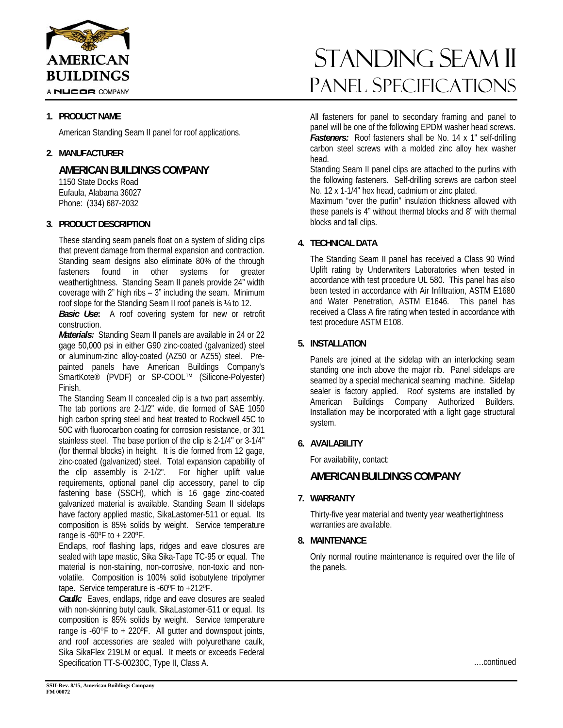

A NUCOR COMPANY

## **1. PRODUCT NAME**

American Standing Seam II panel for roof applications.

# **2. MANUFACTURER**

**AMERICAN BUILDINGS COMPANY** 

 1150 State Docks Road Eufaula, Alabama 36027 Phone: (334) 687-2032

# **3. PRODUCT DESCRIPTION**

These standing seam panels float on a system of sliding clips that prevent damage from thermal expansion and contraction. Standing seam designs also eliminate 80% of the through fasteners found in other systems for greater weathertightness. Standing Seam II panels provide 24" width coverage with 2" high ribs – 3" including the seam. Minimum roof slope for the Standing Seam II roof panels is ¼ to 12.

*Basic Use***:** A roof covering system for new or retrofit construction.

*Materials:* Standing Seam II panels are available in 24 or 22 gage 50,000 psi in either G90 zinc-coated (galvanized) steel or aluminum-zinc alloy-coated (AZ50 or AZ55) steel. Prepainted panels have American Buildings Company's SmartKote® (PVDF) or SP-COOL™ (Silicone-Polyester) Finish.

The Standing Seam II concealed clip is a two part assembly. The tab portions are 2-1/2" wide, die formed of SAE 1050 high carbon spring steel and heat treated to Rockwell 45C to 50C with fluorocarbon coating for corrosion resistance, or 301 stainless steel. The base portion of the clip is 2-1/4" or 3-1/4" (for thermal blocks) in height. It is die formed from 12 gage, zinc-coated (galvanized) steel. Total expansion capability of the clip assembly is 2-1/2". For higher uplift value requirements, optional panel clip accessory, panel to clip fastening base (SSCH), which is 16 gage zinc-coated galvanized material is available. Standing Seam II sidelaps have factory applied mastic, SikaLastomer-511 or equal. Its composition is 85% solids by weight. Service temperature range is -60ºF to + 220ºF.

Endlaps, roof flashing laps, ridges and eave closures are sealed with tape mastic, Sika Sika-Tape TC-95 or equal. The material is non-staining, non-corrosive, non-toxic and nonvolatile. Composition is 100% solid isobutylene tripolymer tape. Service temperature is -60ºF to +212ºF.

*Caulk:* Eaves, endlaps, ridge and eave closures are sealed with non-skinning butyl caulk, SikaLastomer-511 or equal. Its composition is 85% solids by weight. Service temperature range is  $-60^{\circ}$ F to  $+220^{\circ}$ F. All gutter and downspout joints, and roof accessories are sealed with polyurethane caulk, Sika SikaFlex 219LM or equal. It meets or exceeds Federal Specification TT-S-00230C, Type II, Class A.

# standing seam ii Panel Specifications

All fasteners for panel to secondary framing and panel to panel will be one of the following EPDM washer head screws. *Fasteners:* Roof fasteners shall be No. 14 x 1" self-drilling carbon steel screws with a molded zinc alloy hex washer head.

Standing Seam II panel clips are attached to the purlins with the following fasteners. Self-drilling screws are carbon steel No. 12 x 1-1/4" hex head, cadmium or zinc plated.

Maximum "over the purlin" insulation thickness allowed with these panels is 4" without thermal blocks and 8" with thermal blocks and tall clips.

# **4. TECHNICAL DATA**

The Standing Seam II panel has received a Class 90 Wind Uplift rating by Underwriters Laboratories when tested in accordance with test procedure UL 580. This panel has also been tested in accordance with Air Infiltration, ASTM E1680 and Water Penetration, ASTM E1646. This panel has received a Class A fire rating when tested in accordance with test procedure ASTM E108.

## **5. INSTALLATION**

Panels are joined at the sidelap with an interlocking seam standing one inch above the major rib. Panel sidelaps are seamed by a special mechanical seaming machine. Sidelap sealer is factory applied. Roof systems are installed by American Buildings Company Authorized Builders. Installation may be incorporated with a light gage structural system.

### **6. AVAILABILITY**

For availability, contact:

# **AMERICAN BUILDINGS COMPANY**

### **7. WARRANTY**

Thirty-five year material and twenty year weathertightness warranties are available.

# **8. MAINTENANCE**

Only normal routine maintenance is required over the life of the panels.

….continued